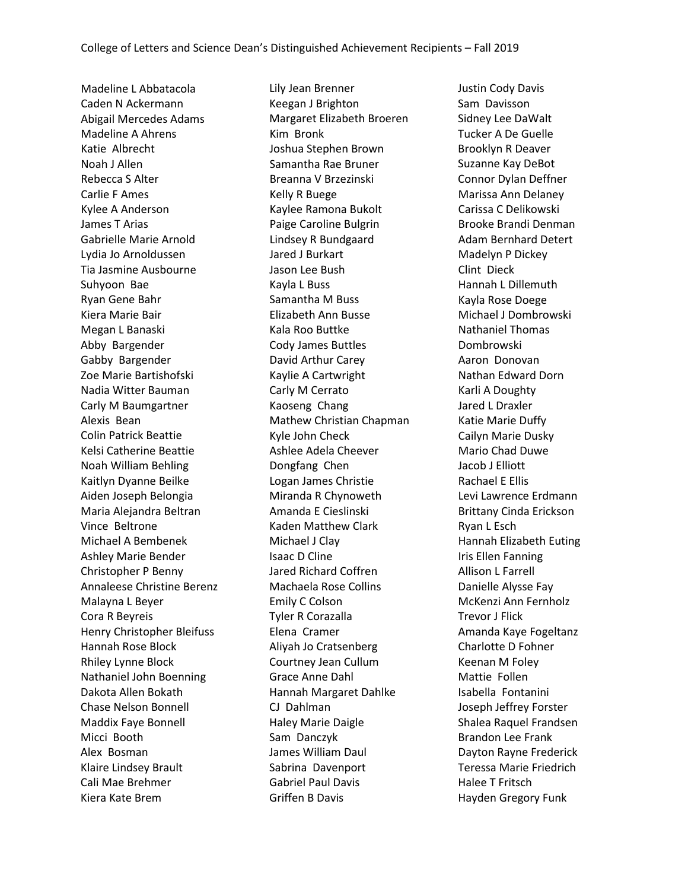Madeline L Abbatacola Caden N Ackermann Abigail Mercedes Adams Madeline A Ahrens Katie Albrecht Noah J Allen Rebecca S Alter Carlie F Ames Kylee A Anderson James T Arias Gabrielle Marie Arnold Lydia Jo Arnoldussen Tia Jasmine Ausbourne Suhyoon Bae Ryan Gene Bahr Kiera Marie Bair Megan L Banaski Abby Bargender Gabby Bargender Zoe Marie Bartishofski Nadia Witter Bauman Carly M Baumgartner Alexis Bean Colin Patrick Beattie Kelsi Catherine Beattie Noah William Behling Kaitlyn Dyanne Beilke Aiden Joseph Belongia Maria Alejandra Beltran Vince Beltrone Michael A Bembenek Ashley Marie Bender Christopher P Benny Annaleese Christine Berenz Malayna L Beyer Cora R Beyreis Henry Christopher Bleifuss Hannah Rose Block Rhiley Lynne Block Nathaniel John Boenning Dakota Allen Bokath Chase Nelson Bonnell Maddix Faye Bonnell Micci Booth Alex Bosman Klaire Lindsey Brault Cali Mae Brehmer Kiera Kate Brem

Lily Jean Brenner Keegan J Brighton Margaret Elizabeth Broeren Kim Bronk Joshua Stephen Brown Samantha Rae Bruner Breanna V Brzezinski Kelly R Buege Kaylee Ramona Bukolt Paige Caroline Bulgrin Lindsey R Bundgaard Jared J Burkart Jason Lee Bush Kayla L Buss Samantha M Buss Elizabeth Ann Busse Kala Roo Buttke Cody James Buttles David Arthur Carey Kaylie A Cartwright Carly M Cerrato Kaoseng Chang Mathew Christian Chapman Kyle John Check Ashlee Adela Cheever Dongfang Chen Logan James Christie Miranda R Chynoweth Amanda E Cieslinski Kaden Matthew Clark Michael J Clay Isaac D Cline Jared Richard Coffren Machaela Rose Collins Emily C Colson Tyler R Corazalla Elena Cramer Aliyah Jo Cratsenberg Courtney Jean Cullum Grace Anne Dahl Hannah Margaret Dahlke CJ Dahlman Haley Marie Daigle Sam Danczyk James William Daul Sabrina Davenport Gabriel Paul Davis Griffen B Davis

Justin Cody Davis Sam Davisson Sidney Lee DaWalt Tucker A De Guelle Brooklyn R Deaver Suzanne Kay DeBot Connor Dylan Deffner Marissa Ann Delaney Carissa C Delikowski Brooke Brandi Denman Adam Bernhard Detert Madelyn P Dickey Clint Dieck Hannah L Dillemuth Kayla Rose Doege Michael J Dombrowski Nathaniel Thomas Dombrowski Aaron Donovan Nathan Edward Dorn Karli A Doughty Jared L Draxler Katie Marie Duffy Cailyn Marie Dusky Mario Chad Duwe Jacob J Elliott Rachael E Ellis Levi Lawrence Erdmann Brittany Cinda Erickson Ryan L Esch Hannah Elizabeth Euting Iris Ellen Fanning Allison L Farrell Danielle Alysse Fay McKenzi Ann Fernholz Trevor J Flick Amanda Kaye Fogeltanz Charlotte D Fohner Keenan M Foley Mattie Follen Isabella Fontanini Joseph Jeffrey Forster Shalea Raquel Frandsen Brandon Lee Frank Dayton Rayne Frederick Teressa Marie Friedrich Halee T Fritsch Hayden Gregory Funk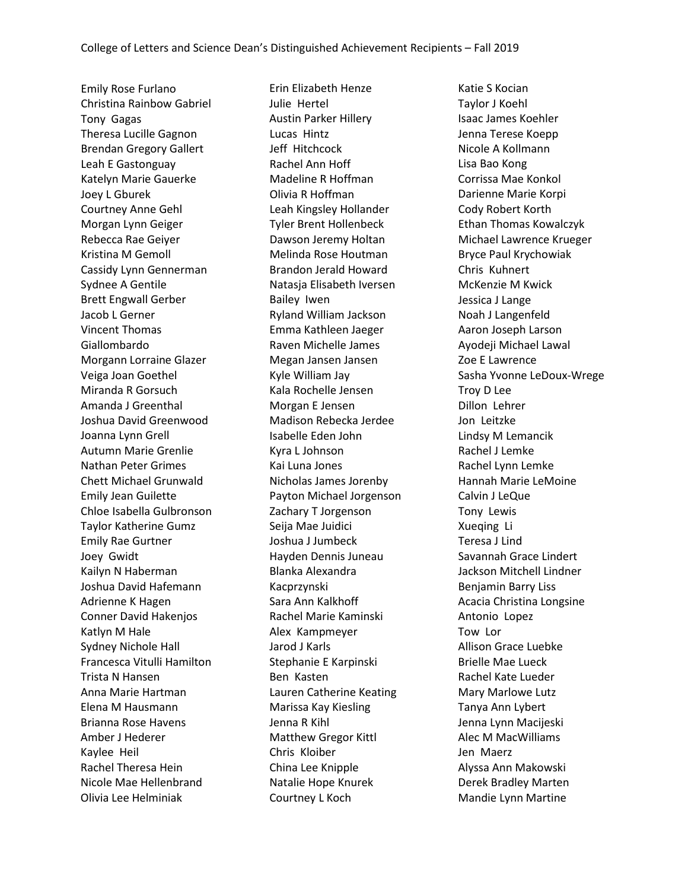Emily Rose Furlano Christina Rainbow Gabriel Tony Gagas Theresa Lucille Gagnon Brendan Gregory Gallert Leah E Gastonguay Katelyn Marie Gauerke Joey L Gburek Courtney Anne Gehl Morgan Lynn Geiger Rebecca Rae Geiyer Kristina M Gemoll Cassidy Lynn Gennerman Sydnee A Gentile Brett Engwall Gerber Jacob L Gerner Vincent Thomas Giallombardo Morgann Lorraine Glazer Veiga Joan Goethel Miranda R Gorsuch Amanda J Greenthal Joshua David Greenwood Joanna Lynn Grell Autumn Marie Grenlie Nathan Peter Grimes Chett Michael Grunwald Emily Jean Guilette Chloe Isabella Gulbronson Taylor Katherine Gumz Emily Rae Gurtner Joey Gwidt Kailyn N Haberman Joshua David Hafemann Adrienne K Hagen Conner David Hakenjos Katlyn M Hale Sydney Nichole Hall Francesca Vitulli Hamilton Trista N Hansen Anna Marie Hartman Elena M Hausmann Brianna Rose Havens Amber J Hederer Kaylee Heil Rachel Theresa Hein Nicole Mae Hellenbrand Olivia Lee Helminiak

Erin Elizabeth Henze Julie Hertel Austin Parker Hillery Lucas Hintz Jeff Hitchcock Rachel Ann Hoff Madeline R Hoffman Olivia R Hoffman Leah Kingsley Hollander Tyler Brent Hollenbeck Dawson Jeremy Holtan Melinda Rose Houtman Brandon Jerald Howard Natasja Elisabeth Iversen Bailey Iwen Ryland William Jackson Emma Kathleen Jaeger Raven Michelle James Megan Jansen Jansen Kyle William Jay Kala Rochelle Jensen Morgan E Jensen Madison Rebecka Jerdee Isabelle Eden John Kyra L Johnson Kai Luna Jones Nicholas James Jorenby Payton Michael Jorgenson Zachary T Jorgenson Seija Mae Juidici Joshua J Jumbeck Hayden Dennis Juneau Blanka Alexandra Kacprzynski Sara Ann Kalkhoff Rachel Marie Kaminski Alex Kampmeyer Jarod J Karls Stephanie E Karpinski Ben Kasten Lauren Catherine Keating Marissa Kay Kiesling Jenna R Kihl Matthew Gregor Kittl Chris Kloiber China Lee Knipple Natalie Hope Knurek Courtney L Koch

Katie S Kocian Taylor J Koehl Isaac James Koehler Jenna Terese Koepp Nicole A Kollmann Lisa Bao Kong Corrissa Mae Konkol Darienne Marie Korpi Cody Robert Korth Ethan Thomas Kowalczyk Michael Lawrence Krueger Bryce Paul Krychowiak Chris Kuhnert McKenzie M Kwick Jessica J Lange Noah J Langenfeld Aaron Joseph Larson Ayodeji Michael Lawal Zoe E Lawrence Sasha Yvonne LeDoux-Wrege Troy D Lee Dillon Lehrer Jon Leitzke Lindsy M Lemancik Rachel J Lemke Rachel Lynn Lemke Hannah Marie LeMoine Calvin J LeQue Tony Lewis Xueqing Li Teresa J Lind Savannah Grace Lindert Jackson Mitchell Lindner Benjamin Barry Liss Acacia Christina Longsine Antonio Lopez Tow Lor Allison Grace Luebke Brielle Mae Lueck Rachel Kate Lueder Mary Marlowe Lutz Tanya Ann Lybert Jenna Lynn Macijeski Alec M MacWilliams Jen Maerz Alyssa Ann Makowski Derek Bradley Marten Mandie Lynn Martine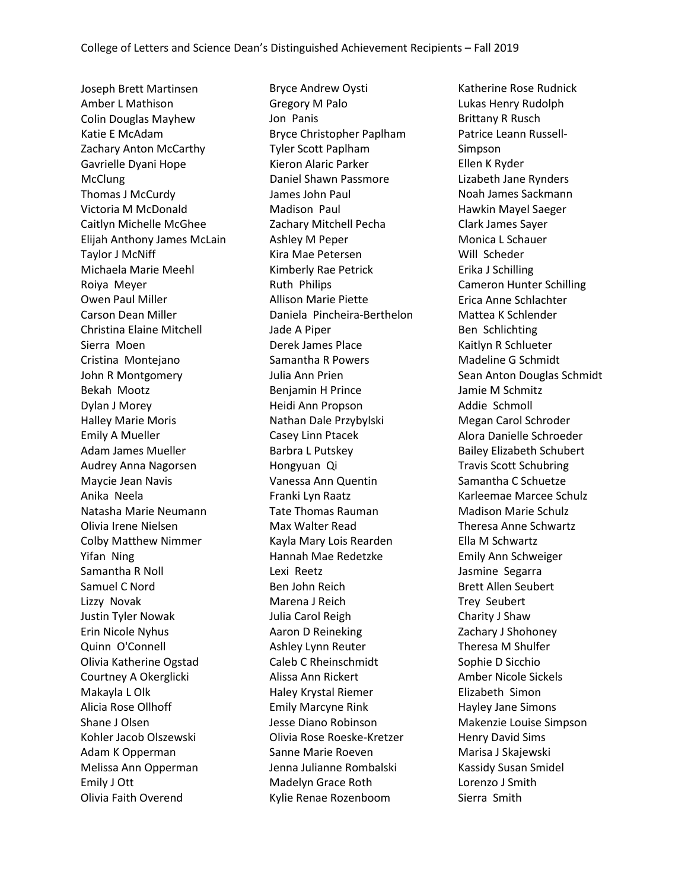Joseph Brett Martinsen Amber L Mathison Colin Douglas Mayhew Katie E McAdam Zachary Anton McCarthy Gavrielle Dyani Hope McClung Thomas J McCurdy Victoria M McDonald Caitlyn Michelle McGhee Elijah Anthony James McLain Taylor J McNiff Michaela Marie Meehl Roiya Meyer Owen Paul Miller Carson Dean Miller Christina Elaine Mitchell Sierra Moen Cristina Montejano John R Montgomery Bekah Mootz Dylan J Morey Halley Marie Moris Emily A Mueller Adam James Mueller Audrey Anna Nagorsen Maycie Jean Navis Anika Neela Natasha Marie Neumann Olivia Irene Nielsen Colby Matthew Nimmer Yifan Ning Samantha R Noll Samuel C Nord Lizzy Novak Justin Tyler Nowak Erin Nicole Nyhus Quinn O'Connell Olivia Katherine Ogstad Courtney A Okerglicki Makayla L Olk Alicia Rose Ollhoff Shane J Olsen Kohler Jacob Olszewski Adam K Opperman Melissa Ann Opperman Emily J Ott Olivia Faith Overend

Bryce Andrew Oysti Gregory M Palo Jon Panis Bryce Christopher Paplham Tyler Scott Paplham Kieron Alaric Parker Daniel Shawn Passmore James John Paul Madison Paul Zachary Mitchell Pecha Ashley M Peper Kira Mae Petersen Kimberly Rae Petrick Ruth Philips Allison Marie Piette Daniela Pincheira-Berthelon Jade A Piper Derek James Place Samantha R Powers Julia Ann Prien Benjamin H Prince Heidi Ann Propson Nathan Dale Przybylski Casey Linn Ptacek Barbra L Putskey Hongyuan Qi Vanessa Ann Quentin Franki Lyn Raatz Tate Thomas Rauman Max Walter Read Kayla Mary Lois Rearden Hannah Mae Redetzke Lexi Reetz Ben John Reich Marena J Reich Julia Carol Reigh Aaron D Reineking Ashley Lynn Reuter Caleb C Rheinschmidt Alissa Ann Rickert Haley Krystal Riemer Emily Marcyne Rink Jesse Diano Robinson Olivia Rose Roeske-Kretzer Sanne Marie Roeven Jenna Julianne Rombalski Madelyn Grace Roth Kylie Renae Rozenboom

Katherine Rose Rudnick Lukas Henry Rudolph Brittany R Rusch Patrice Leann Russell-Simpson Ellen K Ryder Lizabeth Jane Rynders Noah James Sackmann Hawkin Mayel Saeger Clark James Sayer Monica L Schauer Will Scheder Erika J Schilling Cameron Hunter Schilling Erica Anne Schlachter Mattea K Schlender Ben Schlichting Kaitlyn R Schlueter Madeline G Schmidt Sean Anton Douglas Schmidt Jamie M Schmitz Addie Schmoll Megan Carol Schroder Alora Danielle Schroeder Bailey Elizabeth Schubert Travis Scott Schubring Samantha C Schuetze Karleemae Marcee Schulz Madison Marie Schulz Theresa Anne Schwartz Ella M Schwartz Emily Ann Schweiger Jasmine Segarra Brett Allen Seubert Trey Seubert Charity J Shaw Zachary J Shohoney Theresa M Shulfer Sophie D Sicchio Amber Nicole Sickels Elizabeth Simon Hayley Jane Simons Makenzie Louise Simpson Henry David Sims Marisa J Skajewski Kassidy Susan Smidel Lorenzo J Smith Sierra Smith